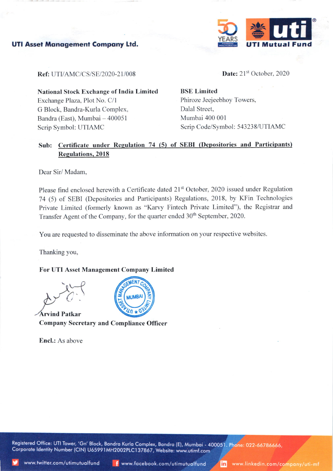



Ref: UTI/AMC/CS/SE/2020-21/008

Date:  $21<sup>st</sup>$  October, 2020

National Stock Exchange of India Limited Exchange Plaza, Plot No. C/l G Block, Bandra-Kurla Complex. Bandra (East), Mumbai - 400051 Scrip Symbol: UTIAMC

BSE Limited Phiroze Jeejeebhoy Towers, Dalal Street, Mumbai 400 001 Scrip Code/Symbol: 543238/UTIAMC

## Sub: Certificate under Regulation 74 (5) of SEBI (Depositories and Participants) Reeulations.20l8

Dear Sir/ Madam.

Please find enclosed herewith a Certificate dated 21<sup>st</sup> October, 2020 issued under Regulation 74 (5) of SEBI (Depositories and Participants) Regulations, 2018, by KFin Technologies Private Limited (formerly known as "Karvy Fintech Private Limited"), the Registrar and Transfer Agent of the Company, for the quarter ended 30<sup>th</sup> September, 2020.

You are requested to disseminate the above information on your respective websites.

Thanking you,

## For UTI Asset Management Company Limited

Arvind Patkar Company Secretary and Compliance Officer

Encl.: As above



Registered Office: UTI Tower, 'Gn' Block, Bandra Kurla Complex, Bandra (E), Mumbai - 400051. Phone: 022-66786666, Corporate Identity Number (CIN) U65991MH2002PLC137867, Website: www.utimf.com